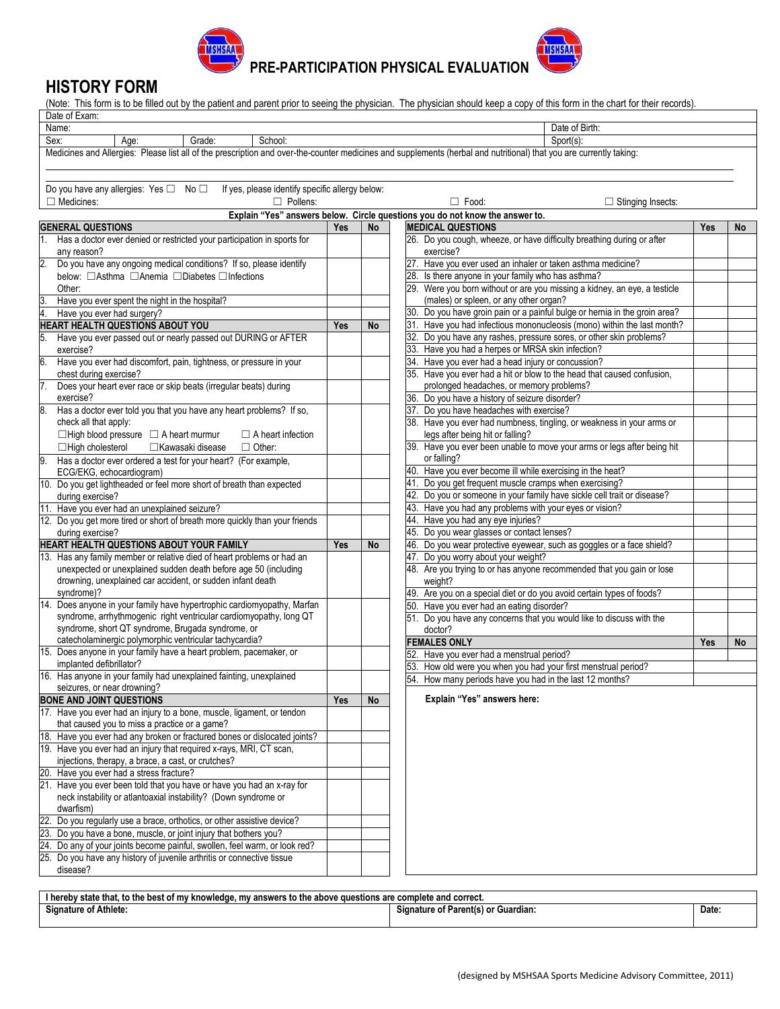

**PRE-PARTICIPATION PHYSICAL EVALUATION** 

### **HISTORY FORM**

(Note: This form is to be filled out by the patient and parent prior to seeing the physician. The physician should keep a copy of this form in the chart for their records).  $\overline{I}$ . Example of Example 2014

| Dale of Exam.                                                                                                                                                       |     |           |                                                                              |            |    |
|---------------------------------------------------------------------------------------------------------------------------------------------------------------------|-----|-----------|------------------------------------------------------------------------------|------------|----|
| Name:                                                                                                                                                               |     |           | Date of Birth:                                                               |            |    |
| Sex:<br>Grade:<br>School:<br>Age:                                                                                                                                   |     |           | Sport(s):                                                                    |            |    |
| Medicines and Allergies: Please list all of the prescription and over-the-counter medicines and supplements (herbal and nutritional) that you are currently taking: |     |           |                                                                              |            |    |
|                                                                                                                                                                     |     |           |                                                                              |            |    |
|                                                                                                                                                                     |     |           |                                                                              |            |    |
| Do you have any allergies: Yes □ No □<br>If yes, please identify specific allergy below:                                                                            |     |           |                                                                              |            |    |
| $\Box$ Medicines:<br>$\Box$ Pollens:                                                                                                                                |     |           | $\Box$ Food:<br>$\Box$ Stinging Insects:                                     |            |    |
|                                                                                                                                                                     |     |           | Explain "Yes" answers below. Circle questions you do not know the answer to. |            |    |
| <b>GENERAL QUESTIONS</b>                                                                                                                                            | Yes | No        | <b>MEDICAL QUESTIONS</b>                                                     | Yes        | No |
| Has a doctor ever denied or restricted your participation in sports for                                                                                             |     |           | 26. Do you cough, wheeze, or have difficulty breathing during or after       |            |    |
| any reason?                                                                                                                                                         |     |           | exercise?                                                                    |            |    |
| 2.<br>Do you have any ongoing medical conditions? If so, please identify                                                                                            |     |           | 27. Have you ever used an inhaler or taken asthma medicine?                  |            |    |
| below: □Asthma □Anemia □Diabetes □Infections                                                                                                                        |     |           | 28. Is there anyone in your family who has asthma?                           |            |    |
| Other:                                                                                                                                                              |     |           | 29. Were you born without or are you missing a kidney, an eye, a testicle    |            |    |
| Have you ever spent the night in the hospital?<br>3.                                                                                                                |     |           | (males) or spleen, or any other organ?                                       |            |    |
| 4.<br>Have you ever had surgery?                                                                                                                                    |     |           | 30. Do you have groin pain or a painful bulge or hernia in the groin area?   |            |    |
| HEART HEALTH QUESTIONS ABOUT YOU                                                                                                                                    | Yes | No        | 31. Have you had infectious mononucleosis (mono) within the last month?      |            |    |
| Have you ever passed out or nearly passed out DURING or AFTER                                                                                                       |     |           | 32. Do you have any rashes, pressure sores, or other skin problems?          |            |    |
| exercise?                                                                                                                                                           |     |           | 33. Have you had a herpes or MRSA skin infection?                            |            |    |
| 6.<br>Have you ever had discomfort, pain, tightness, or pressure in your                                                                                            |     |           | 34. Have you ever had a head injury or concussion?                           |            |    |
| chest during exercise?                                                                                                                                              |     |           | 35. Have you ever had a hit or blow to the head that caused confusion,       |            |    |
| 7.<br>Does your heart ever race or skip beats (irregular beats) during                                                                                              |     |           | prolonged headaches, or memory problems?                                     |            |    |
| exercise?                                                                                                                                                           |     |           | 36. Do you have a history of seizure disorder?                               |            |    |
| 8.<br>Has a doctor ever told you that you have any heart problems? If so,                                                                                           |     |           | 37. Do you have headaches with exercise?                                     |            |    |
| check all that apply:                                                                                                                                               |     |           | 38. Have you ever had numbness, tingling, or weakness in your arms or        |            |    |
| $\Box$ High blood pressure $\Box$ A heart murmur<br>$\Box$ A heart infection                                                                                        |     |           | legs after being hit or falling?                                             |            |    |
| □Kawasaki disease<br>$\Box$ Other:                                                                                                                                  |     |           | 39. Have you ever been unable to move your arms or legs after being hit      |            |    |
| $\Box$ High cholesterol                                                                                                                                             |     |           | or falling?                                                                  |            |    |
| Has a doctor ever ordered a test for your heart? (For example,<br>9.                                                                                                |     |           | 40. Have you ever become ill while exercising in the heat?                   |            |    |
| ECG/EKG, echocardiogram)                                                                                                                                            |     |           | 41. Do you get frequent muscle cramps when exercising?                       |            |    |
| 10. Do you get lightheaded or feel more short of breath than expected                                                                                               |     |           |                                                                              |            |    |
| during exercise?                                                                                                                                                    |     |           | 42. Do you or someone in your family have sickle cell trait or disease?      |            |    |
| 11. Have you ever had an unexplained seizure?                                                                                                                       |     |           | 43. Have you had any problems with your eyes or vision?                      |            |    |
| 12. Do you get more tired or short of breath more quickly than your friends                                                                                         |     |           | 44. Have you had any eye injuries?                                           |            |    |
| during exercise?                                                                                                                                                    |     |           | 45. Do you wear glasses or contact lenses?                                   |            |    |
| HEART HEALTH QUESTIONS ABOUT YOUR FAMILY                                                                                                                            | Yes | <b>No</b> | 46. Do you wear protective eyewear, such as goggles or a face shield?        |            |    |
| 13. Has any family member or relative died of heart problems or had an                                                                                              |     |           | 47. Do you worry about your weight?                                          |            |    |
| unexpected or unexplained sudden death before age 50 (including                                                                                                     |     |           | 48. Are you trying to or has anyone recommended that you gain or lose        |            |    |
| drowning, unexplained car accident, or sudden infant death                                                                                                          |     |           | weight?                                                                      |            |    |
| syndrome)?<br>14. Does anyone in your family have hypertrophic cardiomyopathy, Marfan                                                                               |     |           | 49. Are you on a special diet or do you avoid certain types of foods?        |            |    |
| syndrome, arrhythmogenic right ventricular cardiomyopathy, long QT                                                                                                  |     |           | 50. Have you ever had an eating disorder?                                    |            |    |
| syndrome, short QT syndrome, Brugada syndrome, or                                                                                                                   |     |           | 51. Do you have any concerns that you would like to discuss with the         |            |    |
| catecholaminergic polymorphic ventricular tachycardia?                                                                                                              |     |           | doctor?                                                                      |            |    |
| 15. Does anyone in your family have a heart problem, pacemaker, or                                                                                                  |     |           | <b>FEMALES ONLY</b>                                                          | <b>Yes</b> | No |
| implanted defibrillator?                                                                                                                                            |     |           | 52. Have you ever had a menstrual period?                                    |            |    |
| 16. Has anyone in your family had unexplained fainting, unexplained                                                                                                 |     |           | 53. How old were you when you had your first menstrual period?               |            |    |
| seizures, or near drowning?                                                                                                                                         |     |           | 54. How many periods have you had in the last 12 months?                     |            |    |
| <b>BONE AND JOINT QUESTIONS</b>                                                                                                                                     | Yes | No        | Explain "Yes" answers here:                                                  |            |    |
| 17. Have you ever had an injury to a bone, muscle, ligament, or tendon                                                                                              |     |           |                                                                              |            |    |
| that caused you to miss a practice or a game?                                                                                                                       |     |           |                                                                              |            |    |
| 18. Have you ever had any broken or fractured bones or dislocated joints?                                                                                           |     |           |                                                                              |            |    |
| 19. Have you ever had an injury that required x-rays, MRI, CT scan,                                                                                                 |     |           |                                                                              |            |    |
| injections, therapy, a brace, a cast, or crutches?                                                                                                                  |     |           |                                                                              |            |    |
| 20. Have you ever had a stress fracture?                                                                                                                            |     |           |                                                                              |            |    |
| 21. Have you ever been told that you have or have you had an x-ray for                                                                                              |     |           |                                                                              |            |    |
| neck instability or atlantoaxial instability? (Down syndrome or                                                                                                     |     |           |                                                                              |            |    |
| dwarfism)                                                                                                                                                           |     |           |                                                                              |            |    |
| 22. Do you regularly use a brace, orthotics, or other assistive device?                                                                                             |     |           |                                                                              |            |    |
| 23. Do you have a bone, muscle, or joint injury that bothers you?                                                                                                   |     |           |                                                                              |            |    |
| 24. Do any of your joints become painful, swollen, feel warm, or look red?                                                                                          |     |           |                                                                              |            |    |
| 25. Do you have any history of juvenile arthritis or connective tissue                                                                                              |     |           |                                                                              |            |    |
| disease?                                                                                                                                                            |     |           |                                                                              |            |    |
|                                                                                                                                                                     |     |           |                                                                              |            |    |
|                                                                                                                                                                     |     |           |                                                                              |            |    |

| correct<br>and<br>hereby .<br>answers to the<br><sup>,</sup> knowledae. mv<br>omblete<br>e questions are e<br>that.<br>state<br>. OT<br>pest<br>™V ⊾<br>anove<br>to the |                                                    |       |  |  |
|-------------------------------------------------------------------------------------------------------------------------------------------------------------------------|----------------------------------------------------|-------|--|--|
| $\ddot{\phantom{1}}$<br>.<br><b>Signature of Athlete:</b>                                                                                                               | <b>Parentis</b><br>Guardian.<br>Signature of<br>ΩI | Date. |  |  |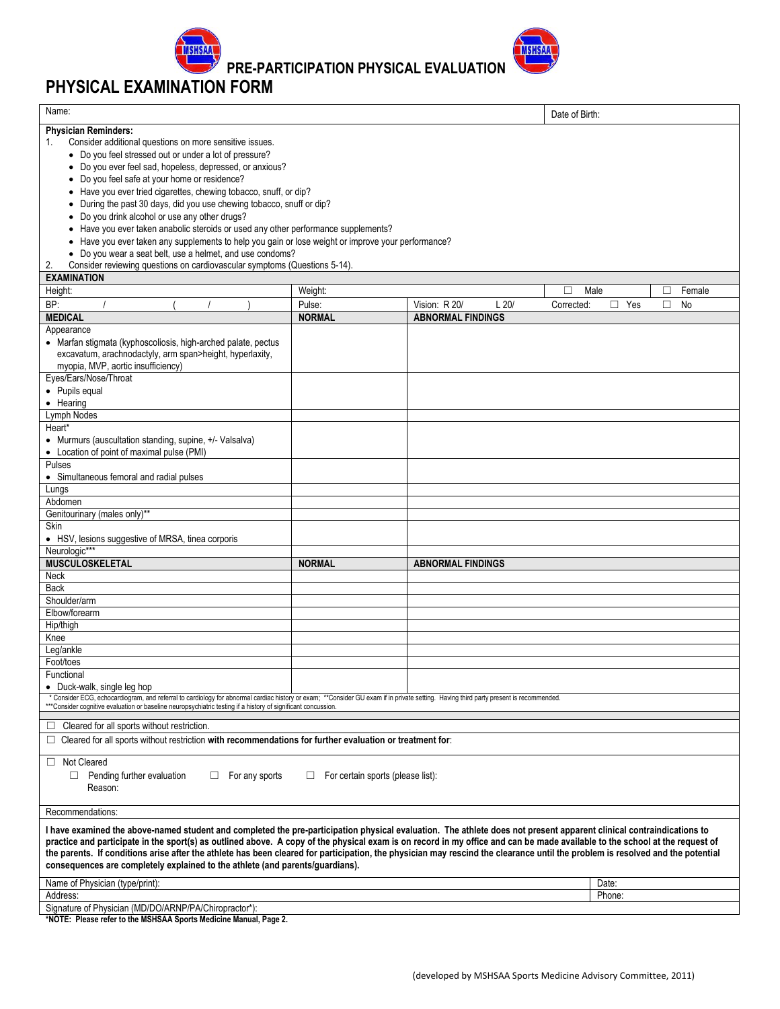

**PRE-PARTICIPATION PHYSICAL EVALUATION** 

## **PHYSICAL EXAMINATION FORM**

| Name:                                                                                                                                                                                                                                                                                                                                                                                                                                                                                                                                                                                                                                                                                                                                                                                                                                                                         |                                    |                                           | Date of Birth:          |                  |                   |
|-------------------------------------------------------------------------------------------------------------------------------------------------------------------------------------------------------------------------------------------------------------------------------------------------------------------------------------------------------------------------------------------------------------------------------------------------------------------------------------------------------------------------------------------------------------------------------------------------------------------------------------------------------------------------------------------------------------------------------------------------------------------------------------------------------------------------------------------------------------------------------|------------------------------------|-------------------------------------------|-------------------------|------------------|-------------------|
| <b>Physician Reminders:</b><br>Consider additional questions on more sensitive issues.<br>1.<br>• Do you feel stressed out or under a lot of pressure?<br>• Do you ever feel sad, hopeless, depressed, or anxious?<br>Do you feel safe at your home or residence?<br>Have you ever tried cigarettes, chewing tobacco, snuff, or dip?<br>During the past 30 days, did you use chewing tobacco, snuff or dip?<br>Do you drink alcohol or use any other drugs?<br>Have you ever taken anabolic steroids or used any other performance supplements?<br>• Have you ever taken any supplements to help you gain or lose weight or improve your performance?<br>• Do you wear a seat belt, use a helmet, and use condoms?<br>Consider reviewing questions on cardiovascular symptoms (Questions 5-14).<br>2.<br><b>EXAMINATION</b><br>Height:<br>BP:<br><b>MEDICAL</b><br>Appearance | Weight:<br>Pulse:<br><b>NORMAL</b> | Vision: R 20/<br><b>ABNORMAL FINDINGS</b> | П<br>L20/<br>Corrected: | Male<br>Yes<br>□ | Female<br>П<br>No |
| • Marfan stigmata (kyphoscoliosis, high-arched palate, pectus<br>excavatum, arachnodactyly, arm span>height, hyperlaxity,<br>myopia, MVP, aortic insufficiency)<br>Eyes/Ears/Nose/Throat<br>• Pupils equal                                                                                                                                                                                                                                                                                                                                                                                                                                                                                                                                                                                                                                                                    |                                    |                                           |                         |                  |                   |
| • Hearing<br>Lymph Nodes<br>Heart*<br>• Murmurs (auscultation standing, supine, +/- Valsalva)                                                                                                                                                                                                                                                                                                                                                                                                                                                                                                                                                                                                                                                                                                                                                                                 |                                    |                                           |                         |                  |                   |
| • Location of point of maximal pulse (PMI)<br>Pulses<br>• Simultaneous femoral and radial pulses<br>Lungs                                                                                                                                                                                                                                                                                                                                                                                                                                                                                                                                                                                                                                                                                                                                                                     |                                    |                                           |                         |                  |                   |
| Abdomen<br>Genitourinary (males only)**<br>Skin                                                                                                                                                                                                                                                                                                                                                                                                                                                                                                                                                                                                                                                                                                                                                                                                                               |                                    |                                           |                         |                  |                   |
| • HSV, lesions suggestive of MRSA, tinea corporis<br>Neurologic***<br><b>MUSCULOSKELETAL</b>                                                                                                                                                                                                                                                                                                                                                                                                                                                                                                                                                                                                                                                                                                                                                                                  | <b>NORMAL</b>                      | <b>ABNORMAL FINDINGS</b>                  |                         |                  |                   |
| Neck<br>Back<br>Shoulder/arm                                                                                                                                                                                                                                                                                                                                                                                                                                                                                                                                                                                                                                                                                                                                                                                                                                                  |                                    |                                           |                         |                  |                   |
| Elbow/forearm<br>Hip/thigh                                                                                                                                                                                                                                                                                                                                                                                                                                                                                                                                                                                                                                                                                                                                                                                                                                                    |                                    |                                           |                         |                  |                   |
| Knee<br>Leg/ankle<br>Foot/toes<br>Functional                                                                                                                                                                                                                                                                                                                                                                                                                                                                                                                                                                                                                                                                                                                                                                                                                                  |                                    |                                           |                         |                  |                   |
| • Duck-walk, single leg hop<br>* Consider ECG, echocardiogram, and referral to cardiology for abnormal cardiac history or exam; **Consider GU exam if in private setting. Having third party present is recommended.<br>***Consider cognitive evaluation or base                                                                                                                                                                                                                                                                                                                                                                                                                                                                                                                                                                                                              |                                    |                                           |                         |                  |                   |
| $\Box$ Cleared for all sports without restriction.<br>$\Box$ Cleared for all sports without restriction with recommendations for further evaluation or treatment for:                                                                                                                                                                                                                                                                                                                                                                                                                                                                                                                                                                                                                                                                                                         |                                    |                                           |                         |                  |                   |
| Not Cleared<br>□<br>Pending further evaluation<br>For any sports<br>$\Box$<br>⊔<br>Reason:                                                                                                                                                                                                                                                                                                                                                                                                                                                                                                                                                                                                                                                                                                                                                                                    | For certain sports (please list):  |                                           |                         |                  |                   |
| Recommendations:                                                                                                                                                                                                                                                                                                                                                                                                                                                                                                                                                                                                                                                                                                                                                                                                                                                              |                                    |                                           |                         |                  |                   |
| I have examined the above-named student and completed the pre-participation physical evaluation. The athlete does not present apparent clinical contraindications to<br>practice and participate in the sport(s) as outlined above. A copy of the physical exam is on record in my office and can be made available to the school at the request of<br>the parents. If conditions arise after the athlete has been cleared for participation, the physician may rescind the clearance until the problem is resolved and the potential<br>consequences are completely explained to the athlete (and parents/guardians).                                                                                                                                                                                                                                                        |                                    |                                           |                         |                  |                   |
| Name of Physician (type/print):                                                                                                                                                                                                                                                                                                                                                                                                                                                                                                                                                                                                                                                                                                                                                                                                                                               |                                    |                                           |                         | Date:            |                   |
| Address:                                                                                                                                                                                                                                                                                                                                                                                                                                                                                                                                                                                                                                                                                                                                                                                                                                                                      |                                    |                                           |                         | Phone:           |                   |
| Signature of Physician (MD/DO/ARNP/PA/Chiropractor*):                                                                                                                                                                                                                                                                                                                                                                                                                                                                                                                                                                                                                                                                                                                                                                                                                         |                                    |                                           |                         |                  |                   |

**\*NOTE: Please refer to the MSHSAA Sports Medicine Manual, Page 2.**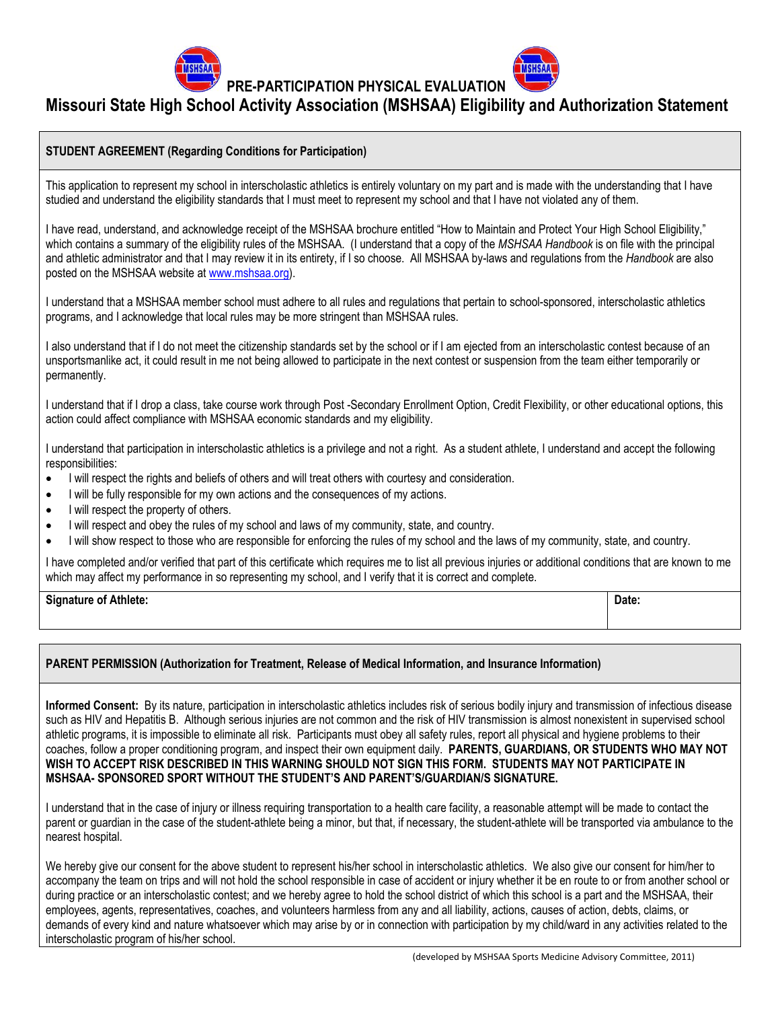**PRE-PARTICIPATION PHYSICAL EVALUATION** 



#### **STUDENT AGREEMENT (Regarding Conditions for Participation)**

This application to represent my school in interscholastic athletics is entirely voluntary on my part and is made with the understanding that I have studied and understand the eligibility standards that I must meet to represent my school and that I have not violated any of them.

I have read, understand, and acknowledge receipt of the MSHSAA brochure entitled "How to Maintain and Protect Your High School Eligibility," which contains a summary of the eligibility rules of the MSHSAA. (I understand that a copy of the *MSHSAA Handbook* is on file with the principal and athletic administrator and that I may review it in its entirety, if I so choose. All MSHSAA by-laws and regulations from the *Handbook* are also posted on the MSHSAA website at [www.mshsaa.org\)](http://www.mshsaa.org/).

I understand that a MSHSAA member school must adhere to all rules and regulations that pertain to school-sponsored, interscholastic athletics programs, and I acknowledge that local rules may be more stringent than MSHSAA rules.

I also understand that if I do not meet the citizenship standards set by the school or if I am ejected from an interscholastic contest because of an unsportsmanlike act, it could result in me not being allowed to participate in the next contest or suspension from the team either temporarily or permanently.

I understand that if I drop a class, take course work through Post -Secondary Enrollment Option, Credit Flexibility, or other educational options, this action could affect compliance with MSHSAA economic standards and my eligibility.

I understand that participation in interscholastic athletics is a privilege and not a right. As a student athlete, I understand and accept the following responsibilities:

- I will respect the rights and beliefs of others and will treat others with courtesy and consideration.
- I will be fully responsible for my own actions and the consequences of my actions.
- I will respect the property of others.
- I will respect and obey the rules of my school and laws of my community, state, and country.
- I will show respect to those who are responsible for enforcing the rules of my school and the laws of my community, state, and country.

I have completed and/or verified that part of this certificate which requires me to list all previous injuries or additional conditions that are known to me which may affect my performance in so representing my school, and I verify that it is correct and complete.

**Signature of Athlete: Date:**

#### **PARENT PERMISSION (Authorization for Treatment, Release of Medical Information, and Insurance Information)**

**Informed Consent:** By its nature, participation in interscholastic athletics includes risk of serious bodily injury and transmission of infectious disease such as HIV and Hepatitis B. Although serious injuries are not common and the risk of HIV transmission is almost nonexistent in supervised school athletic programs, it is impossible to eliminate all risk. Participants must obey all safety rules, report all physical and hygiene problems to their coaches, follow a proper conditioning program, and inspect their own equipment daily. **PARENTS, GUARDIANS, OR STUDENTS WHO MAY NOT WISH TO ACCEPT RISK DESCRIBED IN THIS WARNING SHOULD NOT SIGN THIS FORM. STUDENTS MAY NOT PARTICIPATE IN MSHSAA- SPONSORED SPORT WITHOUT THE STUDENT'S AND PARENT'S/GUARDIAN/S SIGNATURE.**

I understand that in the case of injury or illness requiring transportation to a health care facility, a reasonable attempt will be made to contact the parent or guardian in the case of the student-athlete being a minor, but that, if necessary, the student-athlete will be transported via ambulance to the nearest hospital.

We hereby give our consent for the above student to represent his/her school in interscholastic athletics. We also give our consent for him/her to accompany the team on trips and will not hold the school responsible in case of accident or injury whether it be en route to or from another school or during practice or an interscholastic contest; and we hereby agree to hold the school district of which this school is a part and the MSHSAA, their employees, agents, representatives, coaches, and volunteers harmless from any and all liability, actions, causes of action, debts, claims, or demands of every kind and nature whatsoever which may arise by or in connection with participation by my child/ward in any activities related to the interscholastic program of his/her school.